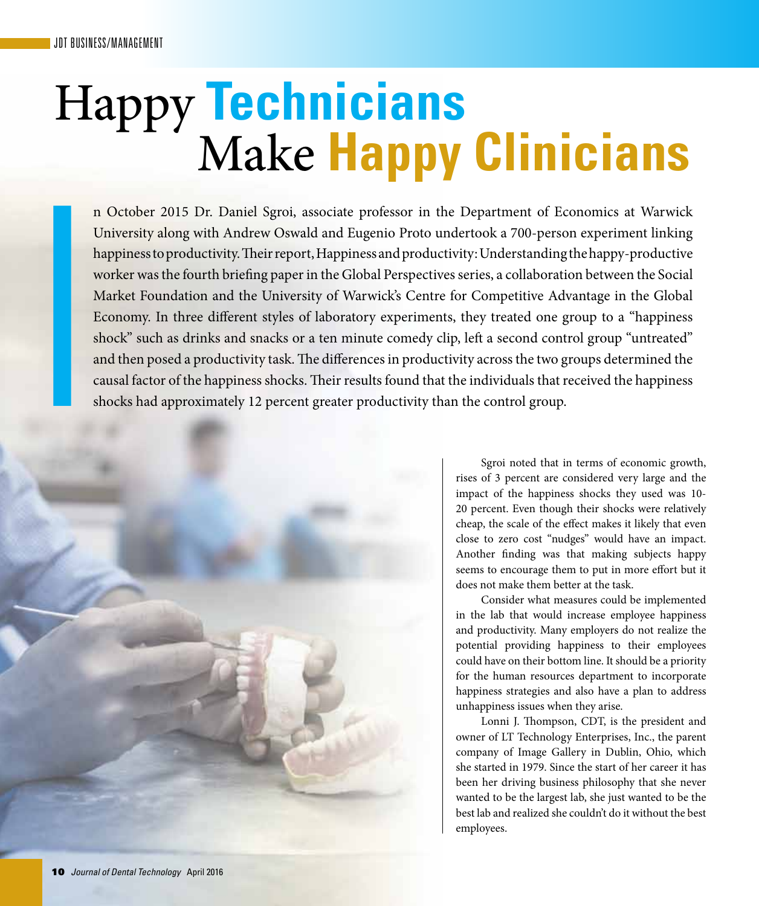## Make **Happy Clinicians** Happy **Technicians**

n October 2015 Dr. Daniel Sgroi, associate professor in the Department of Economics at Warwick University along with Andrew Oswald and Eugenio Proto undertook a 700-person experiment linking happiness to productivity. Their report, Happiness and productivity: Understanding the happy-productive worker was the fourth briefing paper in the Global Perspectives series, a collaboration between the Social Market Foundation and the University of Warwick's Centre for Competitive Advantage in the Global Economy. In three different styles of laboratory experiments, they treated one group to a "happiness shock" such as drinks and snacks or a ten minute comedy clip, left a second control group "untreated" and then posed a productivity task. The differences in productivity across the two groups determined the causal factor of the happiness shocks. Their results found that the individuals that received the happiness shocks had approximately 12 percent greater productivity than the control group.



Sgroi noted that in terms of economic growth, rises of 3 percent are considered very large and the impact of the happiness shocks they used was 10- 20 percent. Even though their shocks were relatively cheap, the scale of the effect makes it likely that even close to zero cost "nudges" would have an impact. Another finding was that making subjects happy seems to encourage them to put in more effort but it does not make them better at the task.

Consider what measures could be implemented in the lab that would increase employee happiness and productivity. Many employers do not realize the potential providing happiness to their employees could have on their bottom line. It should be a priority for the human resources department to incorporate happiness strategies and also have a plan to address unhappiness issues when they arise.

Lonni J. Thompson, CDT, is the president and owner of LT Technology Enterprises, Inc., the parent company of Image Gallery in Dublin, Ohio, which she started in 1979. Since the start of her career it has been her driving business philosophy that she never wanted to be the largest lab, she just wanted to be the best lab and realized she couldn't do it without the best employees.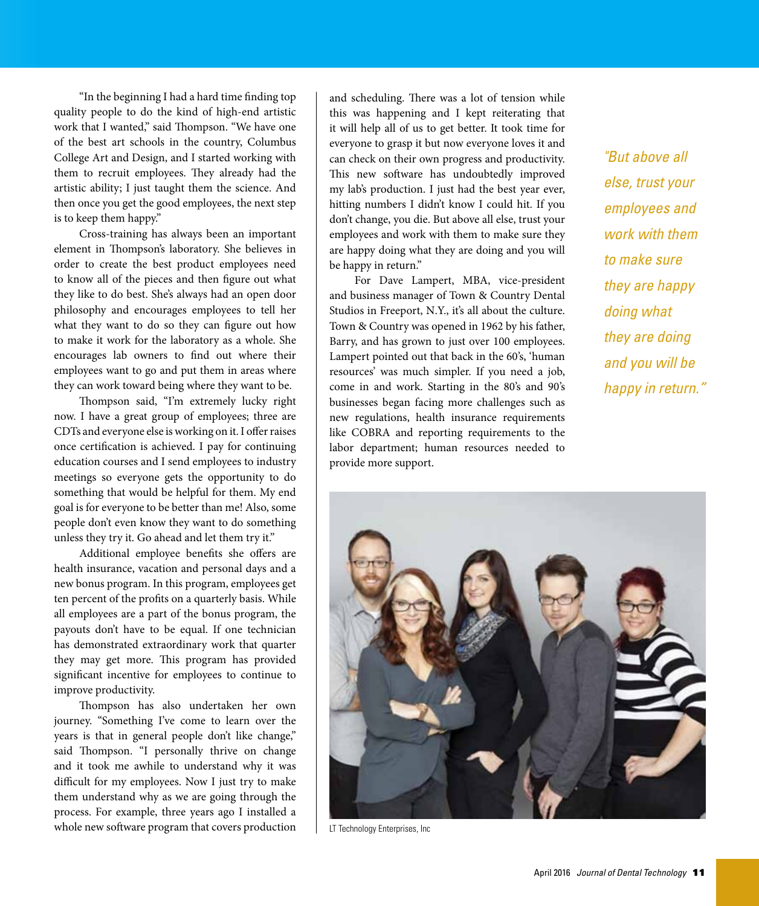"In the beginning I had a hard time finding top quality people to do the kind of high-end artistic work that I wanted," said Thompson. "We have one of the best art schools in the country, Columbus College Art and Design, and I started working with them to recruit employees. They already had the artistic ability; I just taught them the science. And then once you get the good employees, the next step is to keep them happy."

Cross-training has always been an important element in Thompson's laboratory. She believes in order to create the best product employees need to know all of the pieces and then figure out what they like to do best. She's always had an open door philosophy and encourages employees to tell her what they want to do so they can figure out how to make it work for the laboratory as a whole. She encourages lab owners to find out where their employees want to go and put them in areas where they can work toward being where they want to be.

Thompson said, "I'm extremely lucky right now. I have a great group of employees; three are CDTs and everyone else is working on it. I offer raises once certification is achieved. I pay for continuing education courses and I send employees to industry meetings so everyone gets the opportunity to do something that would be helpful for them. My end goal is for everyone to be better than me! Also, some people don't even know they want to do something unless they try it. Go ahead and let them try it."

Additional employee benefits she offers are health insurance, vacation and personal days and a new bonus program. In this program, employees get ten percent of the profits on a quarterly basis. While all employees are a part of the bonus program, the payouts don't have to be equal. If one technician has demonstrated extraordinary work that quarter they may get more. This program has provided significant incentive for employees to continue to improve productivity.

Thompson has also undertaken her own journey. "Something I've come to learn over the years is that in general people don't like change," said Thompson. "I personally thrive on change and it took me awhile to understand why it was difficult for my employees. Now I just try to make them understand why as we are going through the process. For example, three years ago I installed a whole new software program that covers production and scheduling. There was a lot of tension while this was happening and I kept reiterating that it will help all of us to get better. It took time for everyone to grasp it but now everyone loves it and can check on their own progress and productivity. This new software has undoubtedly improved my lab's production. I just had the best year ever, hitting numbers I didn't know I could hit. If you don't change, you die. But above all else, trust your employees and work with them to make sure they are happy doing what they are doing and you will be happy in return."

For Dave Lampert, MBA, vice-president and business manager of Town & Country Dental Studios in Freeport, N.Y., it's all about the culture. Town & Country was opened in 1962 by his father, Barry, and has grown to just over 100 employees. Lampert pointed out that back in the 60's, 'human resources' was much simpler. If you need a job, come in and work. Starting in the 80's and 90's businesses began facing more challenges such as new regulations, health insurance requirements like COBRA and reporting requirements to the labor department; human resources needed to provide more support.

*"But above all else, trust your employees and work with them to make sure they are happy doing what they are doing and you will be happy in return."*



LT Technology Enterprises, Inc